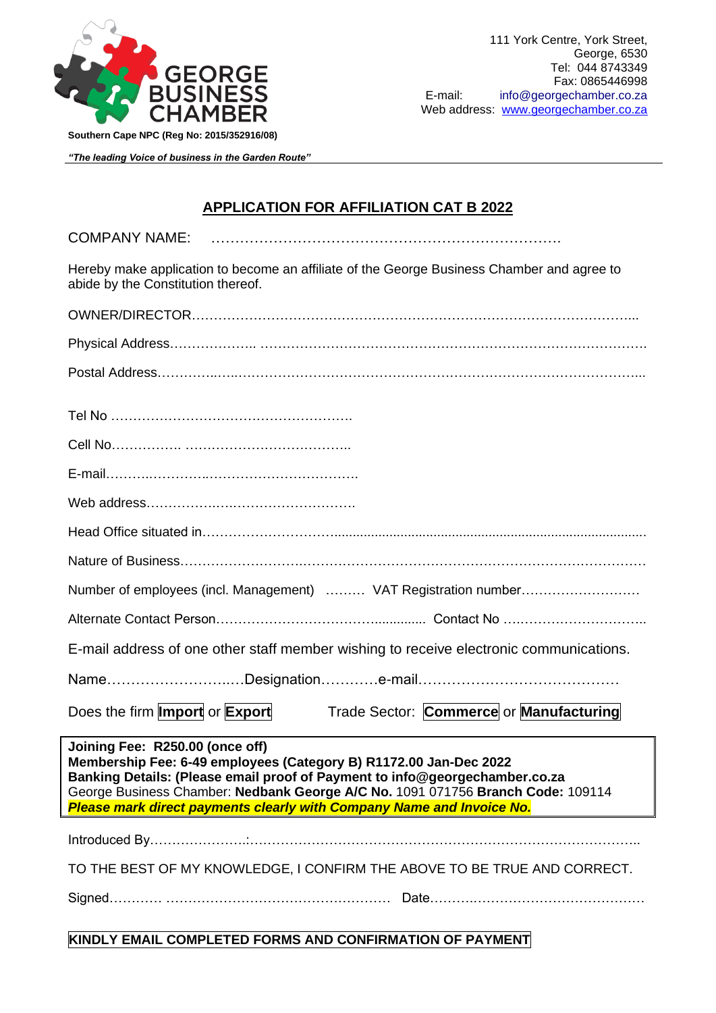

*"The leading Voice of business in the Garden Route"*

## **APPLICATION FOR AFFILIATION CAT B 2022**

COMPANY NAME: ……………………………………………………………….

Hereby make application to become an affiliate of the George Business Chamber and agree to abide by the Constitution thereof.

| Number of employees (incl. Management)  VAT Registration number                                                                                                                                                                                                                                                                                 |  |  |
|-------------------------------------------------------------------------------------------------------------------------------------------------------------------------------------------------------------------------------------------------------------------------------------------------------------------------------------------------|--|--|
|                                                                                                                                                                                                                                                                                                                                                 |  |  |
| E-mail address of one other staff member wishing to receive electronic communications.                                                                                                                                                                                                                                                          |  |  |
|                                                                                                                                                                                                                                                                                                                                                 |  |  |
| Does the firm <b>Import</b> or <b>Export</b><br>Trade Sector: Commerce or Manufacturing                                                                                                                                                                                                                                                         |  |  |
| Joining Fee: R250.00 (once off)<br>Membership Fee: 6-49 employees (Category B) R1172.00 Jan-Dec 2022<br>Banking Details: (Please email proof of Payment to info@georgechamber.co.za<br>George Business Chamber: Nedbank George A/C No. 1091 071756 Branch Code: 109114<br>Please mark direct payments clearly with Company Name and Invoice No. |  |  |
|                                                                                                                                                                                                                                                                                                                                                 |  |  |
| TO THE BEST OF MY KNOWLEDGE, I CONFIRM THE ABOVE TO BE TRUE AND CORRECT.                                                                                                                                                                                                                                                                        |  |  |
|                                                                                                                                                                                                                                                                                                                                                 |  |  |
| KINDLY EMAIL COMPLETED FORMS AND CONFIRMATION OF PAYMENT                                                                                                                                                                                                                                                                                        |  |  |